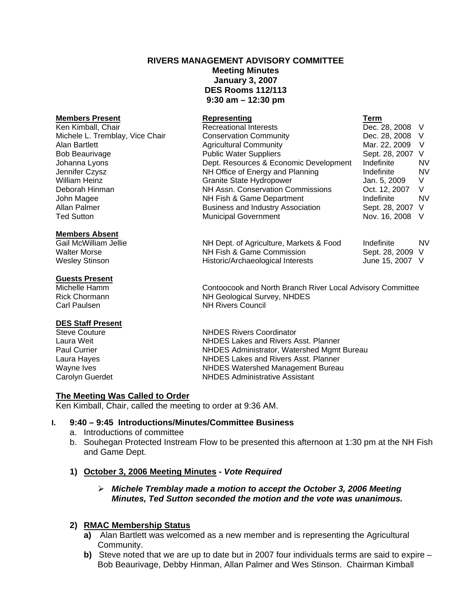# **RIVERS MANAGEMENT ADVISORY COMMITTEE Meeting Minutes January 3, 2007 DES Rooms 112/113 9:30 am – 12:30 pm**

# **Members Present Construction Construction Representing Construction Term**

#### **Members Absent**

#### **Guests Present**

# **DES Staff Present**<br>Steve Couture

| Ken Kimball, Chair              | <b>Recreational Interests</b>            | Dec. 28, 2008 V  |           |
|---------------------------------|------------------------------------------|------------------|-----------|
| Michele L. Tremblay, Vice Chair | <b>Conservation Community</b>            | Dec. 28, 2008 V  |           |
| Alan Bartlett                   | <b>Agricultural Community</b>            | Mar. 22, 2009    | - V       |
| <b>Bob Beaurivage</b>           | <b>Public Water Suppliers</b>            | Sept. 28, 2007 V |           |
| Johanna Lyons                   | Dept. Resources & Economic Development   | Indefinite       | NV.       |
| Jennifer Czysz                  | NH Office of Energy and Planning         | Indefinite       | NV        |
| <b>William Heinz</b>            | Granite State Hydropower                 | Jan. 5, 2009     | V         |
| Deborah Hinman                  | NH Assn. Conservation Commissions        | Oct. 12, 2007    | V         |
| John Magee                      | NH Fish & Game Department                | Indefinite       | <b>NV</b> |
| Allan Palmer                    | <b>Business and Industry Association</b> | Sept. 28, 2007 V |           |
| <b>Ted Sutton</b>               | <b>Municipal Government</b>              | Nov. 16, 2008    | $\vee$    |

Gail McWilliam Jellie **NH Dept. of Agriculture, Markets & Food** Indefinite NV Walter Morse **NH Fish & Game Commission** Sept. 28, 2009 V Wesley Stinson **Historic/Archaeological Interests** June 15, 2007 V

Michelle Hamm Contoocook and North Branch River Local Advisory Committee Rick Chormann NH Geological Survey, NHDES Carl Paulsen NH Rivers Council

Steve Couture **Couture Couture Couture Couture Constant Constant Constant Constant Constant Constant Constant Constant Constant Constant Constant Constant Constant Constant Constant Constant Constant Constant Constant Cons NHDES Lakes and Rivers Asst. Planner** Paul Currier NHDES Administrator, Watershed Mgmt Bureau Laura Hayes **NHDES** Lakes and Rivers Asst. Planner Wayne Ives **NHDES** Watershed Management Bureau Carolyn Guerdet NHDES Administrative Assistant

#### **The Meeting Was Called to Order**

Ken Kimball, Chair, called the meeting to order at 9:36 AM.

## **I. 9:40 – 9:45 Introductions/Minutes/Committee Business**

- a. Introductions of committee
- b. Souhegan Protected Instream Flow to be presented this afternoon at 1:30 pm at the NH Fish and Game Dept.

# **1) October 3, 2006 Meeting Minutes -** *Vote Required*

#### ¾ *Michele Tremblay made a motion to accept the October 3, 2006 Meeting Minutes, Ted Sutton seconded the motion and the vote was unanimous.*

#### **2) RMAC Membership Status**

- **a)** Alan Bartlett was welcomed as a new member and is representing the Agricultural Community.
- **b)** Steve noted that we are up to date but in 2007 four individuals terms are said to expire Bob Beaurivage, Debby Hinman, Allan Palmer and Wes Stinson. Chairman Kimball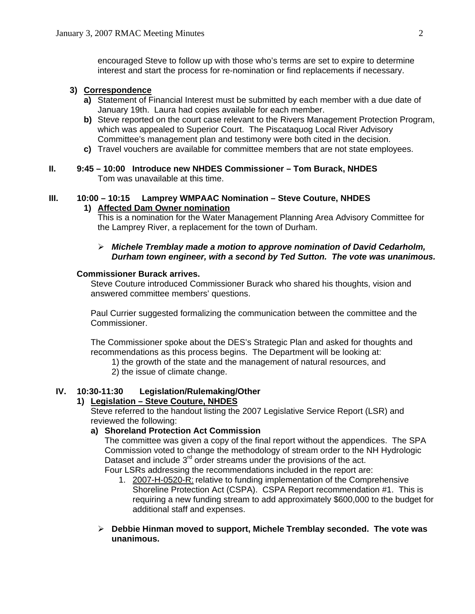encouraged Steve to follow up with those who's terms are set to expire to determine interest and start the process for re-nomination or find replacements if necessary.

# **3) Correspondence**

- **a)** Statement of Financial Interest must be submitted by each member with a due date of January 19th. Laura had copies available for each member.
- **b)** Steve reported on the court case relevant to the Rivers Management Protection Program, which was appealed to Superior Court. The Piscataquog Local River Advisory Committee's management plan and testimony were both cited in the decision.
- **c)** Travel vouchers are available for committee members that are not state employees.
- **II. 9:45 10:00 Introduce new NHDES Commissioner Tom Burack, NHDES** Tom was unavailable at this time.

#### **III. 10:00 – 10:15 Lamprey WMPAAC Nomination – Steve Couture, NHDES**

#### **1) Affected Dam Owner nomination**

This is a nomination for the Water Management Planning Area Advisory Committee for the Lamprey River, a replacement for the town of Durham.

#### ¾ *Michele Tremblay made a motion to approve nomination of David Cedarholm, Durham town engineer, with a second by Ted Sutton. The vote was unanimous.*

#### **Commissioner Burack arrives.**

Steve Couture introduced Commissioner Burack who shared his thoughts, vision and answered committee members' questions.

 Paul Currier suggested formalizing the communication between the committee and the Commissioner.

 The Commissioner spoke about the DES's Strategic Plan and asked for thoughts and recommendations as this process begins. The Department will be looking at:

- 1) the growth of the state and the management of natural resources, and
- 2) the issue of climate change.

# **IV. 10:30-11:30 Legislation/Rulemaking/Other**

# **1) Legislation – Steve Couture, NHDES**

Steve referred to the handout listing the 2007 Legislative Service Report (LSR) and reviewed the following:

# **a) Shoreland Protection Act Commission**

The committee was given a copy of the final report without the appendices. The SPA Commission voted to change the methodology of stream order to the NH Hydrologic Dataset and include 3<sup>rd</sup> order streams under the provisions of the act. Four LSRs addressing the recommendations included in the report are:

- 1. 2007-H-0520-R: relative to funding implementation of the Comprehensive Shoreline Protection Act (CSPA). CSPA Report recommendation #1. This is requiring a new funding stream to add approximately \$600,000 to the budget for additional staff and expenses.
- ¾ **Debbie Hinman moved to support, Michele Tremblay seconded. The vote was unanimous.**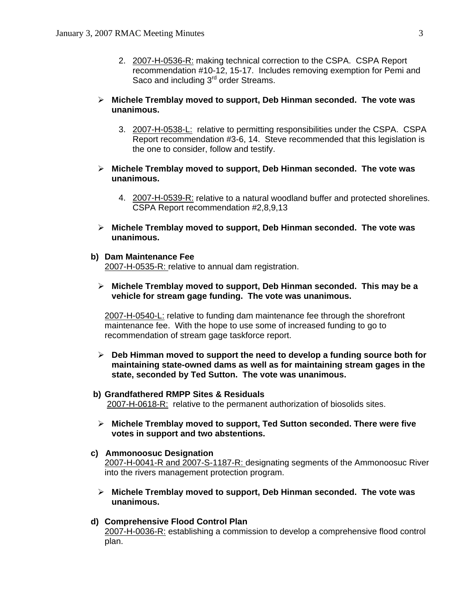2. 2007-H-0536-R: making technical correction to the CSPA. CSPA Report recommendation #10-12, 15-17. Includes removing exemption for Pemi and Saco and including 3<sup>rd</sup> order Streams.

#### ¾ **Michele Tremblay moved to support, Deb Hinman seconded. The vote was unanimous.**

- 3. 2007-H-0538-L: relative to permitting responsibilities under the CSPA. CSPA Report recommendation #3-6, 14. Steve recommended that this legislation is the one to consider, follow and testify.
- ¾ **Michele Tremblay moved to support, Deb Hinman seconded. The vote was unanimous.**
	- 4. 2007-H-0539-R: relative to a natural woodland buffer and protected shorelines. CSPA Report recommendation #2,8,9,13
- ¾ **Michele Tremblay moved to support, Deb Hinman seconded. The vote was unanimous.**
- **b) Dam Maintenance Fee**

2007-H-0535-R: relative to annual dam registration.

¾ **Michele Tremblay moved to support, Deb Hinman seconded. This may be a vehicle for stream gage funding. The vote was unanimous.**

2007-H-0540-L: relative to funding dam maintenance fee through the shorefront maintenance fee. With the hope to use some of increased funding to go to recommendation of stream gage taskforce report.

- ¾ **Deb Himman moved to support the need to develop a funding source both for maintaining state-owned dams as well as for maintaining stream gages in the state, seconded by Ted Sutton. The vote was unanimous.**
- **b) Grandfathered RMPP Sites & Residuals** 2007-H-0618-R: relative to the permanent authorization of biosolids sites.
- ¾ **Michele Tremblay moved to support, Ted Sutton seconded. There were five votes in support and two abstentions.**
- **c) Ammonoosuc Designation** 2007-H-0041-R and 2007-S-1187-R: designating segments of the Ammonoosuc River into the rivers management protection program.
	- ¾ **Michele Tremblay moved to support, Deb Hinman seconded. The vote was unanimous.**
- **d) Comprehensive Flood Control Plan**  2007-H-0036-R: establishing a commission to develop a comprehensive flood control plan.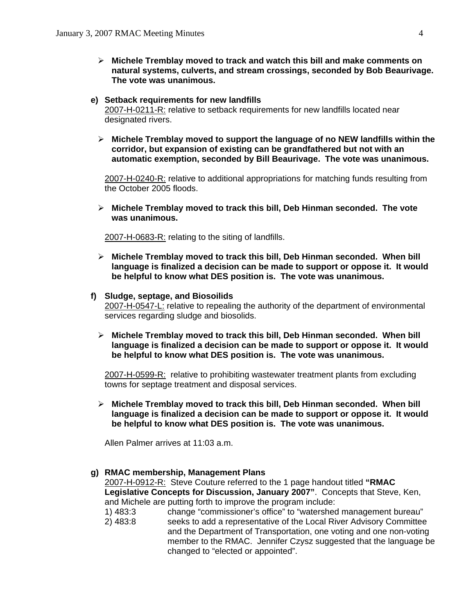¾ **Michele Tremblay moved to track and watch this bill and make comments on natural systems, culverts, and stream crossings, seconded by Bob Beaurivage. The vote was unanimous.**

#### **e) Setback requirements for new landfills**

2007-H-0211-R: relative to setback requirements for new landfills located near designated rivers.

¾ **Michele Tremblay moved to support the language of no NEW landfills within the corridor, but expansion of existing can be grandfathered but not with an automatic exemption, seconded by Bill Beaurivage. The vote was unanimous.**

2007-H-0240-R: relative to additional appropriations for matching funds resulting from the October 2005 floods.

¾ **Michele Tremblay moved to track this bill, Deb Hinman seconded. The vote was unanimous.**

2007-H-0683-R: relating to the siting of landfills.

¾ **Michele Tremblay moved to track this bill, Deb Hinman seconded. When bill language is finalized a decision can be made to support or oppose it. It would be helpful to know what DES position is. The vote was unanimous.** 

#### **f) Sludge, septage, and Biosoilids**

2007-H-0547-L: relative to repealing the authority of the department of environmental services regarding sludge and biosolids.

¾ **Michele Tremblay moved to track this bill, Deb Hinman seconded. When bill language is finalized a decision can be made to support or oppose it. It would be helpful to know what DES position is. The vote was unanimous.**

2007-H-0599-R: relative to prohibiting wastewater treatment plants from excluding towns for septage treatment and disposal services.

¾ **Michele Tremblay moved to track this bill, Deb Hinman seconded. When bill language is finalized a decision can be made to support or oppose it. It would be helpful to know what DES position is. The vote was unanimous.**

Allen Palmer arrives at 11:03 a.m.

#### **g) RMAC membership, Management Plans**

2007-H-0912-R: Steve Couture referred to the 1 page handout titled **"RMAC Legislative Concepts for Discussion, January 2007"**. Concepts that Steve, Ken, and Michele are putting forth to improve the program include:

- 1) 483:3 change "commissioner's office" to "watershed management bureau"
- 2) 483:8 seeks to add a representative of the Local River Advisory Committee and the Department of Transportation, one voting and one non-voting member to the RMAC. Jennifer Czysz suggested that the language be changed to "elected or appointed".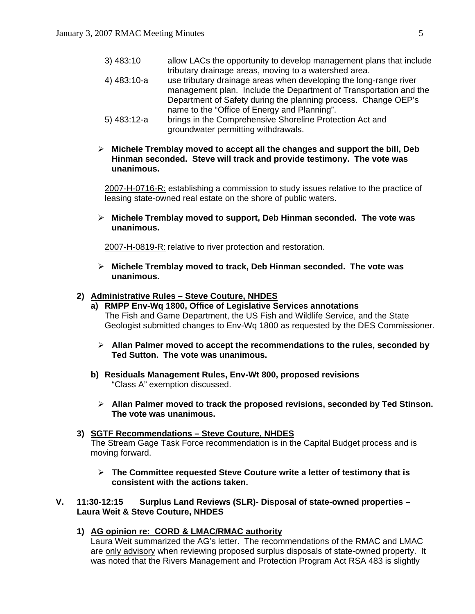| $3)$ 483:10    | allow LACs the opportunity to develop management plans that include |
|----------------|---------------------------------------------------------------------|
|                | tributary drainage areas, moving to a watershed area.               |
| 4) 483:10-a    | use tributary drainage areas when developing the long-range river   |
|                | management plan. Include the Department of Transportation and the   |
|                | Department of Safety during the planning process. Change OEP's      |
|                | name to the "Office of Energy and Planning".                        |
| $(5)$ 483.12-a | brings in the Comprehensive Shoreline Protection Act and            |

- 5) 483:12-a brings in the Comprehensive Shoreline Protection Act and groundwater permitting withdrawals.
- ¾ **Michele Tremblay moved to accept all the changes and support the bill, Deb Hinman seconded. Steve will track and provide testimony. The vote was unanimous.**

2007-H-0716-R: establishing a commission to study issues relative to the practice of leasing state-owned real estate on the shore of public waters.

¾ **Michele Tremblay moved to support, Deb Hinman seconded. The vote was unanimous.**

2007-H-0819-R: relative to river protection and restoration.

¾ **Michele Tremblay moved to track, Deb Hinman seconded. The vote was unanimous.**

#### **2) Administrative Rules – Steve Couture, NHDES**

- **a) RMPP Env-Wq 1800, Office of Legislative Services annotations**  The Fish and Game Department, the US Fish and Wildlife Service, and the State Geologist submitted changes to Env-Wq 1800 as requested by the DES Commissioner.
	- ¾ **Allan Palmer moved to accept the recommendations to the rules, seconded by Ted Sutton. The vote was unanimous.**
- **b) Residuals Management Rules, Env-Wt 800, proposed revisions**  "Class A" exemption discussed.
	- ¾ **Allan Palmer moved to track the proposed revisions, seconded by Ted Stinson. The vote was unanimous.**
- **3) SGTF Recommendations Steve Couture, NHDES** The Stream Gage Task Force recommendation is in the Capital Budget process and is moving forward.
	- ¾ **The Committee requested Steve Couture write a letter of testimony that is consistent with the actions taken.**

#### **V. 11:30-12:15 Surplus Land Reviews (SLR)- Disposal of state-owned properties – Laura Weit & Steve Couture, NHDES**

 **1) AG opinion re: CORD & LMAC/RMAC authority**

Laura Weit summarized the AG's letter. The recommendations of the RMAC and LMAC are only advisory when reviewing proposed surplus disposals of state-owned property. It was noted that the Rivers Management and Protection Program Act RSA 483 is slightly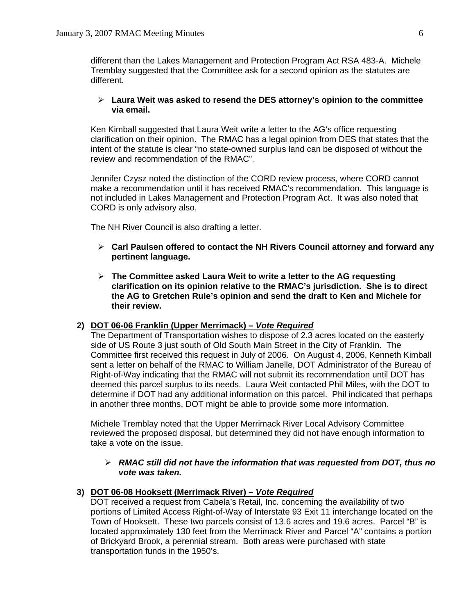different than the Lakes Management and Protection Program Act RSA 483-A. Michele Tremblay suggested that the Committee ask for a second opinion as the statutes are different.

#### ¾ **Laura Weit was asked to resend the DES attorney's opinion to the committee via email.**

Ken Kimball suggested that Laura Weit write a letter to the AG's office requesting clarification on their opinion. The RMAC has a legal opinion from DES that states that the intent of the statute is clear "no state-owned surplus land can be disposed of without the review and recommendation of the RMAC".

Jennifer Czysz noted the distinction of the CORD review process, where CORD cannot make a recommendation until it has received RMAC's recommendation. This language is not included in Lakes Management and Protection Program Act. It was also noted that CORD is only advisory also.

The NH River Council is also drafting a letter.

- ¾ **Carl Paulsen offered to contact the NH Rivers Council attorney and forward any pertinent language.**
- ¾ **The Committee asked Laura Weit to write a letter to the AG requesting clarification on its opinion relative to the RMAC's jurisdiction. She is to direct the AG to Gretchen Rule's opinion and send the draft to Ken and Michele for their review.**

#### **2) DOT 06-06 Franklin (Upper Merrimack) –** *Vote Required*

The Department of Transportation wishes to dispose of 2.3 acres located on the easterly side of US Route 3 just south of Old South Main Street in the City of Franklin. The Committee first received this request in July of 2006. On August 4, 2006, Kenneth Kimball sent a letter on behalf of the RMAC to William Janelle, DOT Administrator of the Bureau of Right-of-Way indicating that the RMAC will not submit its recommendation until DOT has deemed this parcel surplus to its needs. Laura Weit contacted Phil Miles, with the DOT to determine if DOT had any additional information on this parcel. Phil indicated that perhaps in another three months, DOT might be able to provide some more information.

Michele Tremblay noted that the Upper Merrimack River Local Advisory Committee reviewed the proposed disposal, but determined they did not have enough information to take a vote on the issue.

#### ¾ *RMAC still did not have the information that was requested from DOT, thus no vote was taken.*

#### **3) DOT 06-08 Hooksett (Merrimack River) –** *Vote Required*

DOT received a request from Cabela's Retail, Inc. concerning the availability of two portions of Limited Access Right-of-Way of Interstate 93 Exit 11 interchange located on the Town of Hooksett. These two parcels consist of 13.6 acres and 19.6 acres. Parcel "B" is located approximately 130 feet from the Merrimack River and Parcel "A" contains a portion of Brickyard Brook, a perennial stream. Both areas were purchased with state transportation funds in the 1950's.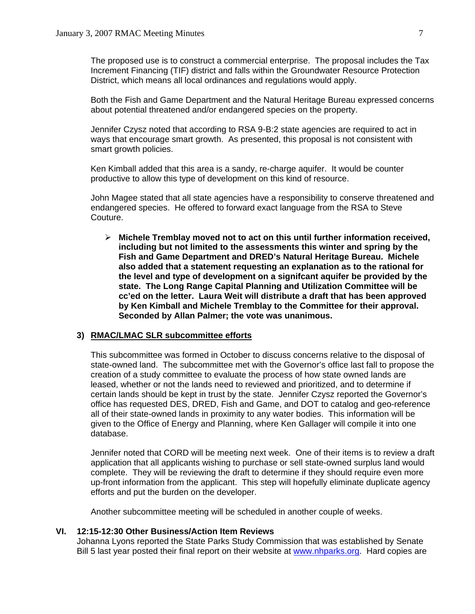The proposed use is to construct a commercial enterprise. The proposal includes the Tax Increment Financing (TIF) district and falls within the Groundwater Resource Protection District, which means all local ordinances and regulations would apply.

Both the Fish and Game Department and the Natural Heritage Bureau expressed concerns about potential threatened and/or endangered species on the property.

Jennifer Czysz noted that according to RSA 9-B:2 state agencies are required to act in ways that encourage smart growth. As presented, this proposal is not consistent with smart growth policies.

Ken Kimball added that this area is a sandy, re-charge aquifer. It would be counter productive to allow this type of development on this kind of resource.

John Magee stated that all state agencies have a responsibility to conserve threatened and endangered species. He offered to forward exact language from the RSA to Steve Couture.

¾ **Michele Tremblay moved not to act on this until further information received, including but not limited to the assessments this winter and spring by the Fish and Game Department and DRED's Natural Heritage Bureau. Michele also added that a statement requesting an explanation as to the rational for the level and type of development on a signifcant aquifer be provided by the state. The Long Range Capital Planning and Utilization Committee will be cc'ed on the letter. Laura Weit will distribute a draft that has been approved by Ken Kimball and Michele Tremblay to the Committee for their approval. Seconded by Allan Palmer; the vote was unanimous.** 

## **3) RMAC/LMAC SLR subcommittee efforts**

This subcommittee was formed in October to discuss concerns relative to the disposal of state-owned land. The subcommittee met with the Governor's office last fall to propose the creation of a study committee to evaluate the process of how state owned lands are leased, whether or not the lands need to reviewed and prioritized, and to determine if certain lands should be kept in trust by the state. Jennifer Czysz reported the Governor's office has requested DES, DRED, Fish and Game, and DOT to catalog and geo-reference all of their state-owned lands in proximity to any water bodies. This information will be given to the Office of Energy and Planning, where Ken Gallager will compile it into one database.

Jennifer noted that CORD will be meeting next week. One of their items is to review a draft application that all applicants wishing to purchase or sell state-owned surplus land would complete. They will be reviewing the draft to determine if they should require even more up-front information from the applicant. This step will hopefully eliminate duplicate agency efforts and put the burden on the developer.

Another subcommittee meeting will be scheduled in another couple of weeks.

#### **VI. 12:15-12:30 Other Business/Action Item Reviews**

Johanna Lyons reported the State Parks Study Commission that was established by Senate Bill 5 last year posted their final report on their website at [www.nhparks.org](http://www.nhparks.org/). Hard copies are